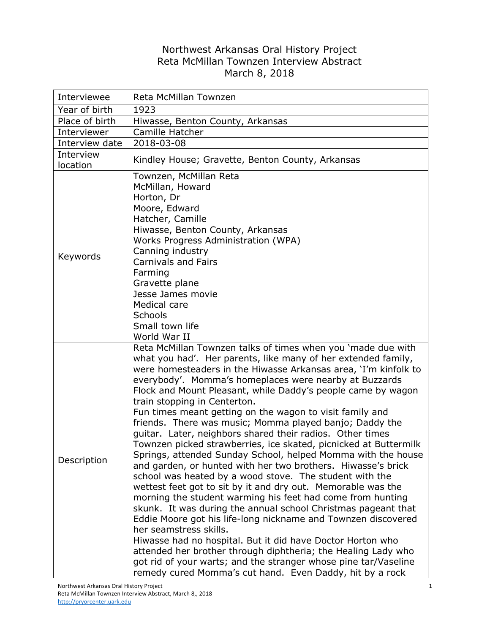## Northwest Arkansas Oral History Project Reta McMillan Townzen Interview Abstract March 8, 2018

| Interviewee           | Reta McMillan Townzen                                                                                                                                                                                                                                                                                                                                                                                                                                                                                                                                                                                                                                                                                                                                                                                                                                                                                                                                                                                                                                                                                                                                                                                                                                                                                                                                                 |
|-----------------------|-----------------------------------------------------------------------------------------------------------------------------------------------------------------------------------------------------------------------------------------------------------------------------------------------------------------------------------------------------------------------------------------------------------------------------------------------------------------------------------------------------------------------------------------------------------------------------------------------------------------------------------------------------------------------------------------------------------------------------------------------------------------------------------------------------------------------------------------------------------------------------------------------------------------------------------------------------------------------------------------------------------------------------------------------------------------------------------------------------------------------------------------------------------------------------------------------------------------------------------------------------------------------------------------------------------------------------------------------------------------------|
| Year of birth         | 1923                                                                                                                                                                                                                                                                                                                                                                                                                                                                                                                                                                                                                                                                                                                                                                                                                                                                                                                                                                                                                                                                                                                                                                                                                                                                                                                                                                  |
| Place of birth        | Hiwasse, Benton County, Arkansas                                                                                                                                                                                                                                                                                                                                                                                                                                                                                                                                                                                                                                                                                                                                                                                                                                                                                                                                                                                                                                                                                                                                                                                                                                                                                                                                      |
| Interviewer           | Camille Hatcher                                                                                                                                                                                                                                                                                                                                                                                                                                                                                                                                                                                                                                                                                                                                                                                                                                                                                                                                                                                                                                                                                                                                                                                                                                                                                                                                                       |
| Interview date        | 2018-03-08                                                                                                                                                                                                                                                                                                                                                                                                                                                                                                                                                                                                                                                                                                                                                                                                                                                                                                                                                                                                                                                                                                                                                                                                                                                                                                                                                            |
| Interview<br>location | Kindley House; Gravette, Benton County, Arkansas                                                                                                                                                                                                                                                                                                                                                                                                                                                                                                                                                                                                                                                                                                                                                                                                                                                                                                                                                                                                                                                                                                                                                                                                                                                                                                                      |
| Keywords              | Townzen, McMillan Reta<br>McMillan, Howard<br>Horton, Dr<br>Moore, Edward<br>Hatcher, Camille<br>Hiwasse, Benton County, Arkansas<br>Works Progress Administration (WPA)<br>Canning industry<br><b>Carnivals and Fairs</b><br>Farming<br>Gravette plane<br>Jesse James movie<br>Medical care<br>Schools<br>Small town life<br>World War II                                                                                                                                                                                                                                                                                                                                                                                                                                                                                                                                                                                                                                                                                                                                                                                                                                                                                                                                                                                                                            |
| Description           | Reta McMillan Townzen talks of times when you 'made due with<br>what you had'. Her parents, like many of her extended family,<br>were homesteaders in the Hiwasse Arkansas area, 'I'm kinfolk to<br>everybody'. Momma's homeplaces were nearby at Buzzards<br>Flock and Mount Pleasant, while Daddy's people came by wagon<br>train stopping in Centerton.<br>Fun times meant getting on the wagon to visit family and<br>friends. There was music; Momma played banjo; Daddy the<br>guitar. Later, neighbors shared their radios. Other times<br>Townzen picked strawberries, ice skated, picnicked at Buttermilk<br>Springs, attended Sunday School, helped Momma with the house<br>and garden, or hunted with her two brothers. Hiwasse's brick<br>school was heated by a wood stove. The student with the<br>wettest feet got to sit by it and dry out. Memorable was the<br>morning the student warming his feet had come from hunting<br>skunk. It was during the annual school Christmas pageant that<br>Eddie Moore got his life-long nickname and Townzen discovered<br>her seamstress skills.<br>Hiwasse had no hospital. But it did have Doctor Horton who<br>attended her brother through diphtheria; the Healing Lady who<br>got rid of your warts; and the stranger whose pine tar/Vaseline<br>remedy cured Momma's cut hand. Even Daddy, hit by a rock |